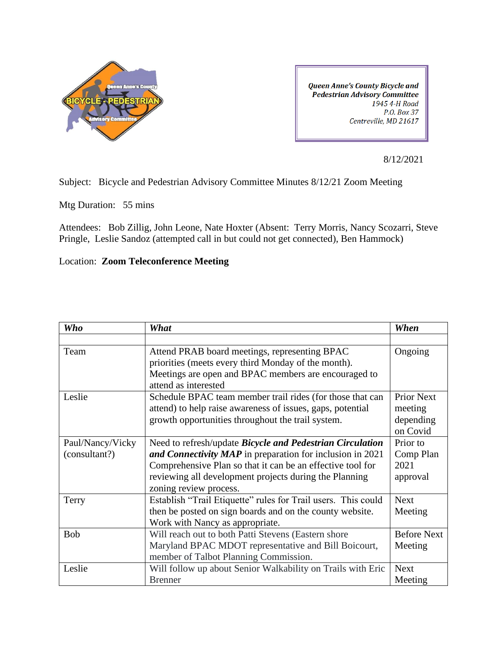

**Queen Anne's County Bicycle and Pedestrian Advisory Committee** 1945 4-H Road P.O. Box 37 Centreville, MD 21617

8/12/2021

Subject: Bicycle and Pedestrian Advisory Committee Minutes 8/12/21 Zoom Meeting

Mtg Duration: 55 mins

Attendees: Bob Zillig, John Leone, Nate Hoxter (Absent: Terry Morris, Nancy Scozarri, Steve Pringle, Leslie Sandoz (attempted call in but could not get connected), Ben Hammock)

Location: **Zoom Teleconference Meeting** 

| Who              | What                                                                                                                                                                                 | When                                                  |
|------------------|--------------------------------------------------------------------------------------------------------------------------------------------------------------------------------------|-------------------------------------------------------|
|                  |                                                                                                                                                                                      |                                                       |
| Team             | Attend PRAB board meetings, representing BPAC<br>priorities (meets every third Monday of the month).<br>Meetings are open and BPAC members are encouraged to<br>attend as interested | Ongoing                                               |
| Leslie           | Schedule BPAC team member trail rides (for those that can<br>attend) to help raise awareness of issues, gaps, potential<br>growth opportunities throughout the trail system.         | <b>Prior Next</b><br>meeting<br>depending<br>on Covid |
| Paul/Nancy/Vicky | Need to refresh/update <i>Bicycle and Pedestrian Circulation</i>                                                                                                                     | Prior to                                              |
| (consultant?)    | and Connectivity MAP in preparation for inclusion in 2021                                                                                                                            | Comp Plan                                             |
|                  | Comprehensive Plan so that it can be an effective tool for                                                                                                                           | 2021                                                  |
|                  | reviewing all development projects during the Planning<br>zoning review process.                                                                                                     | approval                                              |
| Terry            | Establish "Trail Etiquette" rules for Trail users. This could                                                                                                                        | <b>Next</b>                                           |
|                  | then be posted on sign boards and on the county website.<br>Work with Nancy as appropriate.                                                                                          | Meeting                                               |
| <b>Bob</b>       | Will reach out to both Patti Stevens (Eastern shore                                                                                                                                  | <b>Before Next</b>                                    |
|                  | Maryland BPAC MDOT representative and Bill Boicourt,<br>member of Talbot Planning Commission.                                                                                        | Meeting                                               |
| Leslie           | Will follow up about Senior Walkability on Trails with Eric                                                                                                                          | <b>Next</b>                                           |
|                  | <b>Brenner</b>                                                                                                                                                                       | Meeting                                               |